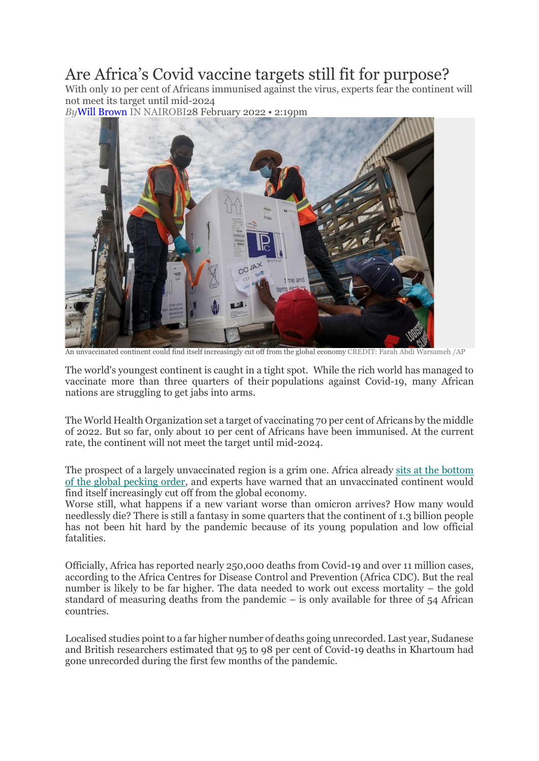## Are Africa's Covid vaccine targets still fit for purpose?

With only 10 per cent of Africans immunised against the virus, experts fear the continent will not meet its target until mid-2024

*By*[Will Brown](https://www.telegraph.co.uk/authors/w/wf-wj/will-brown/) IN NAIROBI28 February 2022 • 2:19pm



An unvaccinated continent could find itself increasingly cut off from the global economy CREDIT: Farah Abdi Warsameh /AP

The world's youngest continent is caught in a tight spot. While the rich world has managed to vaccinate more than three quarters of their populations against Covid-19, many African nations are struggling to get jabs into arms.

The World Health Organization set a target of vaccinating 70 per cent of Africans by the middle of 2022. But so far, only about 10 per cent of Africans have been immunised. At the current rate, the continent will not meet the target until mid-2024.

The prospect of a largely unvaccinated region is a grim one. Africa already [sits at the bottom](https://www.telegraph.co.uk/global-health/science-and-disease/without-vaccines-needs-africa-can-dream-ending-covid-rules/)  [of the global pecking order,](https://www.telegraph.co.uk/global-health/science-and-disease/without-vaccines-needs-africa-can-dream-ending-covid-rules/) and experts have warned that an unvaccinated continent would find itself increasingly cut off from the global economy.

Worse still, what happens if a new variant worse than omicron arrives? How many would needlessly die? There is still a fantasy in some quarters that the continent of 1.3 billion people has not been hit hard by the pandemic because of its young population and low official fatalities.

Officially, Africa has reported nearly 250,000 deaths from Covid-19 and over 11 million cases, according to the Africa Centres for Disease Control and Prevention (Africa CDC). But the real number is likely to be far higher. The data needed to work out excess mortality – the gold standard of measuring deaths from the pandemic – is only available for three of 54 African countries.

Localised studies point to a far higher number of deaths going unrecorded. Last year, Sudanese and British researchers estimated that 95 to 98 per cent of Covid-19 deaths in Khartoum had gone unrecorded during the first few months of the pandemic.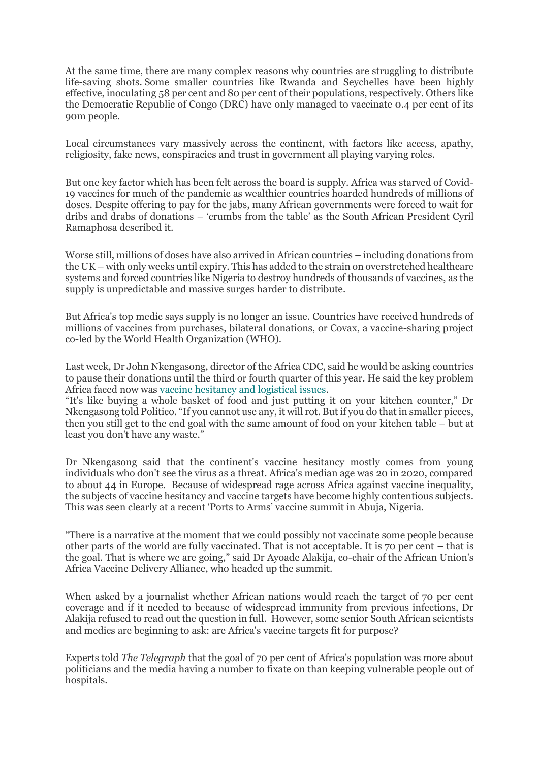At the same time, there are many complex reasons why countries are struggling to distribute life-saving shots. Some smaller countries like Rwanda and Seychelles have been highly effective, inoculating 58 per cent and 80 per cent of their populations, respectively. Others like the Democratic Republic of Congo (DRC) have only managed to vaccinate 0.4 per cent of its 90m people.

Local circumstances vary massively across the continent, with factors like access, apathy, religiosity, fake news, conspiracies and trust in government all playing varying roles.

But one key factor which has been felt across the board is supply. Africa was starved of Covid-19 vaccines for much of the pandemic as wealthier countries hoarded hundreds of millions of doses. Despite offering to pay for the jabs, many African governments were forced to wait for dribs and drabs of donations – 'crumbs from the table' as the South African President Cyril Ramaphosa described it.

Worse still, millions of doses have also arrived in African countries – including donations from the UK – with only weeks until expiry. This has added to the strain on overstretched healthcare systems and forced countries like Nigeria to destroy hundreds of thousands of vaccines, as the supply is unpredictable and massive surges harder to distribute.

But Africa's top medic says supply is no longer an issue. Countries have received hundreds of millions of vaccines from purchases, bilateral donations, or Covax, a vaccine-sharing project co-led by the World Health Organization (WHO).

Last week, Dr John Nkengasong, director of the Africa CDC, said he would be asking countries to pause their donations until the third or fourth quarter of this year. He said the key problem Africa faced now was [vaccine hesitancy and logistical issues.](https://www.telegraph.co.uk/global-health/science-and-disease/complacency-mistrust-government-mean-liberians-turning-backs/)

"It's like buying a whole basket of food and just putting it on your kitchen counter," Dr Nkengasong told Politico. "If you cannot use any, it will rot. But if you do that in smaller pieces, then you still get to the end goal with the same amount of food on your kitchen table – but at least you don't have any waste."

Dr Nkengasong said that the continent's vaccine hesitancy mostly comes from young individuals who don't see the virus as a threat. Africa's median age was 20 in 2020, compared to about 44 in Europe. Because of widespread rage across Africa against vaccine inequality, the subjects of vaccine hesitancy and vaccine targets have become highly contentious subjects. This was seen clearly at a recent 'Ports to Arms' vaccine summit in Abuja, Nigeria.

"There is a narrative at the moment that we could possibly not vaccinate some people because other parts of the world are fully vaccinated. That is not acceptable. It is 70 per cent – that is the goal. That is where we are going," said Dr Ayoade Alakija, co-chair of the African Union's Africa Vaccine Delivery Alliance, who headed up the summit.

When asked by a journalist whether African nations would reach the target of 70 per cent coverage and if it needed to because of widespread immunity from previous infections, Dr Alakija refused to read out the question in full. However, some senior South African scientists and medics are beginning to ask: are Africa's vaccine targets fit for purpose?

Experts told *The Telegraph* that the goal of 70 per cent of Africa's population was more about politicians and the media having a number to fixate on than keeping vulnerable people out of hospitals.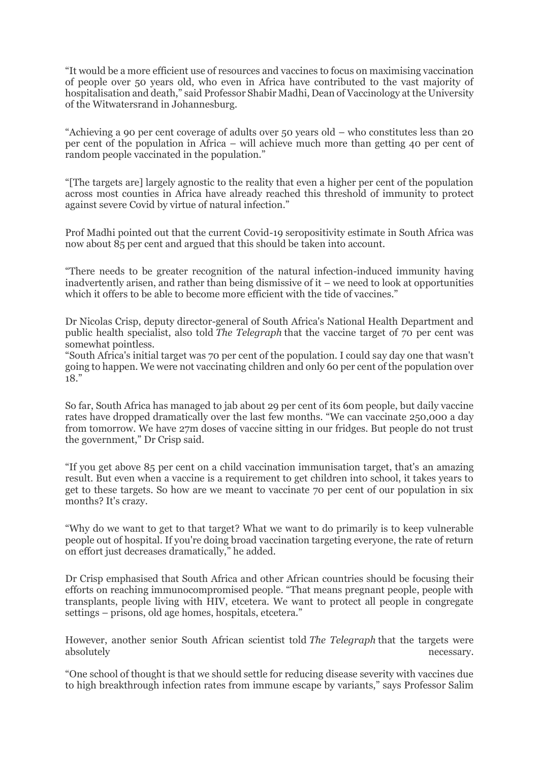"It would be a more efficient use of resources and vaccines to focus on maximising vaccination of people over 50 years old, who even in Africa have contributed to the vast majority of hospitalisation and death," said Professor Shabir Madhi, Dean of Vaccinology at the University of the Witwatersrand in Johannesburg.

"Achieving a 90 per cent coverage of adults over 50 years old – who constitutes less than 20 per cent of the population in Africa – will achieve much more than getting 40 per cent of random people vaccinated in the population."

"[The targets are] largely agnostic to the reality that even a higher per cent of the population across most counties in Africa have already reached this threshold of immunity to protect against severe Covid by virtue of natural infection."

Prof Madhi pointed out that the current Covid-19 seropositivity estimate in South Africa was now about 85 per cent and argued that this should be taken into account.

"There needs to be greater recognition of the natural infection-induced immunity having inadvertently arisen, and rather than being dismissive of it – we need to look at opportunities which it offers to be able to become more efficient with the tide of vaccines."

Dr Nicolas Crisp, deputy director-general of South Africa's National Health Department and public health specialist, also told *The Telegraph* that the vaccine target of 70 per cent was somewhat pointless.

"South Africa's initial target was 70 per cent of the population. I could say day one that wasn't going to happen. We were not vaccinating children and only 60 per cent of the population over 18."

So far, South Africa has managed to jab about 29 per cent of its 60m people, but daily vaccine rates have dropped dramatically over the last few months. "We can vaccinate 250,000 a day from tomorrow. We have 27m doses of vaccine sitting in our fridges. But people do not trust the government," Dr Crisp said.

"If you get above 85 per cent on a child vaccination immunisation target, that's an amazing result. But even when a vaccine is a requirement to get children into school, it takes years to get to these targets. So how are we meant to vaccinate 70 per cent of our population in six months? It's crazy.

"Why do we want to get to that target? What we want to do primarily is to keep vulnerable people out of hospital. If you're doing broad vaccination targeting everyone, the rate of return on effort just decreases dramatically," he added.

Dr Crisp emphasised that South Africa and other African countries should be focusing their efforts on reaching immunocompromised people. "That means pregnant people, people with transplants, people living with HIV, etcetera. We want to protect all people in congregate settings – prisons, old age homes, hospitals, etcetera."

However, another senior South African scientist told *The Telegraph* that the targets were absolutely necessary.

"One school of thought is that we should settle for reducing disease severity with vaccines due to high breakthrough infection rates from immune escape by variants," says Professor Salim